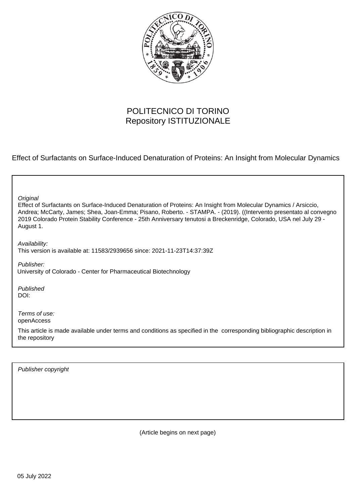

## POLITECNICO DI TORINO Repository ISTITUZIONALE

Effect of Surfactants on Surface-Induced Denaturation of Proteins: An Insight from Molecular Dynamics

Effect of Surfactants on Surface-Induced Denaturation of Proteins: An Insight from Molecular Dynamics / Arsiccio, Andrea; McCarty, James; Shea, Joan-Emma; Pisano, Roberto. - STAMPA. - (2019). ((Intervento presentato al convegno 2019 Colorado Protein Stability Conference - 25th Anniversary tenutosi a Breckenridge, Colorado, USA nel July 29 - August 1. **Original** Publisher: Published DOI: Terms of use: openAccess This article is made available under terms and conditions as specified in the corresponding bibliographic description in the repository Availability: This version is available at: 11583/2939656 since: 2021-11-23T14:37:39Z University of Colorado - Center for Pharmaceutical Biotechnology

Publisher copyright

(Article begins on next page)